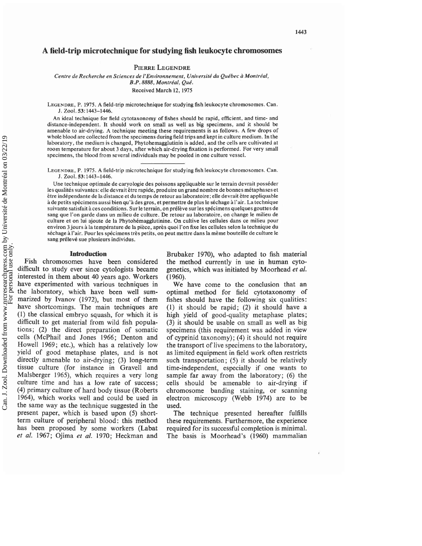1443

# **A field-trip microtechnique for studying fish leukocyte chromosomes**

**PIERRE LEGENDRE** 

*Centre de Recherche en Sciences de I'Environnernent, Universiti du Quebec* **t?** *Montreal, B.P. 8888, Montreal, Quf.* 

Received March **12.1975** 

LEGENDRE, P. **1975.** A field-trip microtechnique for studying fish leukocyte chromosomes. Can. J. 2001.53: **1443-1446.** 

An ideal technique for field cytotaxonomy of fishes should be rapid, efficient, and time- and distance-independent. It should work on small as well as big specimens, and it should be amenable to air-drying. A technique meeting these requirements is as follows. A few drops of whole blood are collected from the specimens during field trips and kept in culture medium. In the laboratory, the medium is changed, Phytohemagglutinin is added, and the cells are cultivated at room temperature for about **3** days, after which air-drying fixation is performed. For very small specimens, the blood from several individuals may be pooled in one culture vessel.

LEGENDRE, P. **1975.** A field-trip microtechnique for studying fish leukocyte chromosomes. Can. J. 2001.53: **1443-1446.** 

Une technique optimale de caryologie des poissons appliquable sur le terrain devrait posséder les qualités suivantes: elle devrait être rapide, produire un grand nombre de bonnes métaphases et être indépendante de la distance et du temps de retour au laboratoire; elle devrait être appliquable à de petits spécimens aussi bien qu'à des gros, et permettre de plus le séchage à l'air. La technique suivante satisfait à ces conditions. Sur le terrain, on prélève sur les spécimens quelques gouttes de sang que I'on garde dans un milieu de culture. De retour au laboratoire, on change le milieu de culture et on lui ajoute de la Phytohemagglutinine. On cultive les cellules dans ce milieu pour environ 3 jours à la température de la pièce, après quoi l'on fixe les cellules selon la technique du séchage à l'air. Pour les spécimens très petits, on peut mettre dans la même bouteille de culture le sang prélevé sue plusieurs individus.

## **Introduction**

Fish chromosomes have been considered difficult to study ever since cytologists became interested in them about 40 years ago. Workers have experimented with various techniques in the laboratory, which have been well summarized by Ivanov (1972), but most of them have shortcomings. The main techniques are (1) the classical embryo squash, for which it is difficult to get material from wild fish populations; (2) the direct preparation of somatic cells (McPhail and Jones 1966; Denton and Howell 1969; etc.), which has a relatively low yield of good metaphase plates, and is not directly amenable to air-drying; **(3)** long-term tissue culture (for instance in Gravell and Malsberger 1965), which requires a very long culture time and has a low rate of success; (4) primary culture of hard body tissue (Roberts 1964), which works well and could be used in the same way as the technique suggested in the present paper, which is based upon (5) shortterm culture of peripheral blood: this method has been proposed by some workers (Labat *et al.* 1967; Ojima *et al.* 1970; Heckman and

Brubaker 1970), who adapted to fish material the method currently in use in human cytogenetics, which was initiated by Moorhead *et al.*  (1960).

We have come to the conclusion that an optimal method for field cytotaxonomy of fishes should have the following six qualities: (1) it should be rapid; (2) it should have a high yield of good-quality metaphase plates; **(3)** it should be usable on small as well as big specimens (this requirement was added in view of cyprinid taxonomy); (4) it should not require the transport of live specimens to the laboratory, as limited equipment in field work often restricts such transportation; (5) it should be relatively time-independent, especially if one wants to sample far away from the laboratory; (6) the cells should be amenable to air-drying if chromosome banding staining, or scanning electron microscopy (Webb 1974) are to be used.

The technique presented hereafter fulfills these requirements. Furthermore, the experience required for its successful completion is minimal. The basis is Moorhead's (1960) mammalian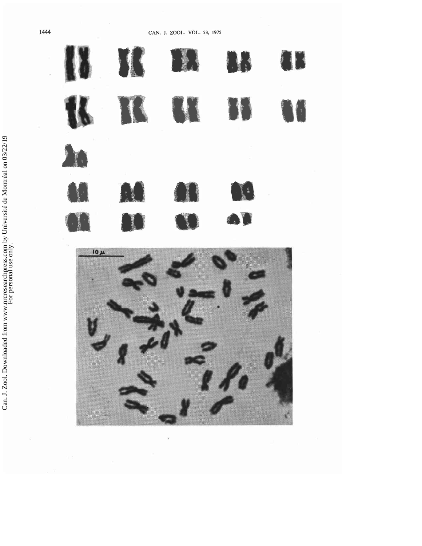

ä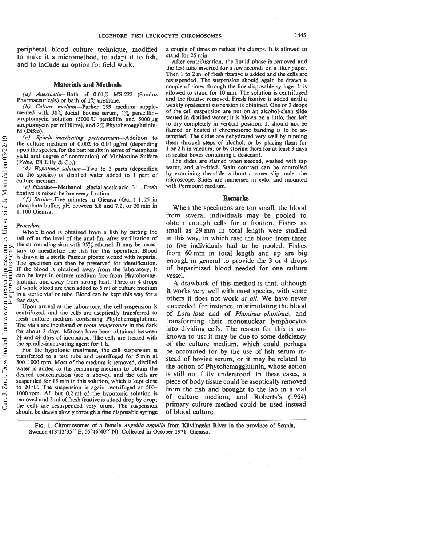peripheral blood culture technique, modified to make it a micromethod, to adapt it to fish, and to include an option for field work.

## **Materials and Methods**

(a) Anesthetic-Bath of 0.01% MS-222 (Sandoz Pharmaceuticals) or bath of  $1\%$  urethane.

(b) Culture medium-Parker 199 medium supplemented with  $30\%$  foetal bovine serum,  $1\%$  penicillinstreptomycin solution (5000 U penicillin and 5000 µg streptomycin per millilitre), and  $2\%$  Phytohemagglutinin-M (Difco).

(c) Spindle-inactivating pretreatment-Addition to the culture medium of  $0.002$  to  $0.01 \mu g/ml$  (depending upon the species, for the best results in terms of metaphase yield and degree of contraction) of Vinblastine Sulfate (Velbe, Eli Lilly & Co.).

 $(d)$  Hypotonic solution-Two to 3 parts (depending on the species) of distilled water added to 1 part of culture medium.

 $(e)$  Fixative-Methanol : glacial acetic acid, 3:1. Fresh fixative is mixed before every fixation.

(f) Strain-Five minutes in Giemsa (Gurr) 1:25 in phosphate buffer, pH between 6.8 and 7.2, or 20 min in 1 : 100 Giemsa.

### Procedure

Whole blood is obtained from a fish by cutting the tail off at the level of the anal fin, after sterilization of the surrounding skin with 95% ethanol. It may be necessary to anesthetize the fish for this operation. Blood is drawn in a sterile Pasteur pipette wetted with heparin. The specimen can then be preserved for identification. If the blood is obtained away from the laboratory, it can be kept in culture medium free from Phytohemagglutinin, and away from strong heat. Three or 4 drops of whole blood are then added to 5 ml of culture medium in a sterile vial or tube. Blood can be kept this way for a few days.

Upon arrival at the laboratory, the cell suspension is centrifuged, and the cells are aseptically transferred to fresh culture medium containing Phytohemagglutinin. The vials are incubated at room temperature in the dark for about 3 days. Mitoses have been obtained between  $2\frac{1}{2}$  and  $4\frac{1}{2}$  days of incubation. The cells are treated with the spindle-inactivating agent for 1 h.

For the hypotonic treatment, the cell suspension is transferred to a test tube and centrifuged for 5 min at 500-1000 rpm. Most of the medium is removed, distilled water is added to the remaining medium to obtain the desired concentration (see d above), and the cells are suspended for 15 min in this solution, which is kept close to 20°C. The suspension is again centrifuged at 500- 1000 rpm. All but 0.2 ml of the hypotonic solution is removed and 2 ml of fresh fixative is added drop by drop; the cells are resuspended very often. The suspension should be drawn slowly through a fine disposable syringe a couple of times to reduce the clumps. It is allowed to stand for 25 min.

After centrifugation, the liquid phase is removed and the test tube inverted for a few seconds on a filter paper. Then 1 to 2 ml of fresh fixative is added and the cells are resuspended. The suspension should again be drawn a couple of times through the fine disposable syringe. It is allowed to stand for 10 min. The solution is centrifuged and the fixative removed. Fresh fixative is added until a weakly opalescent suspension is obtained. One or 2 drops of the cell suspension are put on an alcohol-clean slide wetted in distilled water; it is blown on a little, then left to dry completely in vertical position. It should not be flamed or heated if chromosome banding is to be attempted. The slides are dehydrated very well by running them through steps of alcohol, or by placing them for 1 or 2 h in vacuum, or by storing them for at least 3 days in sealed boxes containing a desiccant.

The slides are stained when needed, washed with tap water, and air-dried. Stain contrast can be controlled by examining the slide without a cover slip under the microscope. Slides are immersed in xylol and mounted with Permount medium.

#### **Remarks**

When the specimens are too small, the blood from several individuals may be pooled to obtain enough cells for a fixation. Fishes as small as 29 mm in total length were studied in this way, in which case the blood from three to five individuals had to be pooled. Fishes from **60** mm in total length and up are big enough in general to provide the 3 or **4** drops of heparinized blood needed for one culture vessel.

A drawback of this method is that, although it works very well with most species, with some others it does not work at all. We have never succeeded, for instance, in stimulating the blood of Lota Iota and of Phoxinus phoxinus, and transforming their mononuclear lymphocytes into dividing cells. The reason for this is unknown to us: it may be due to some deficiency of the culture medium, which could perhaps be accounted for by the use of fish serum instead of bovine serum, or it may be related to the action of Phytohemagglutinin, whose action is still not fully understood. In these cases, a piece of body tissue could be aseptically removed from the fish and brought to the lab in a vial of culture medium, and Roberts's **(1964)**  primary culture method could be used instead of blood culture.

FIG. 1. Chromosomes of a female Anguilla anguilla from Kävlingeån River in the province of Scania, Sweden (13'13'35" **E.** 55'46'40" N). Collected in October 1971. Giemsa.